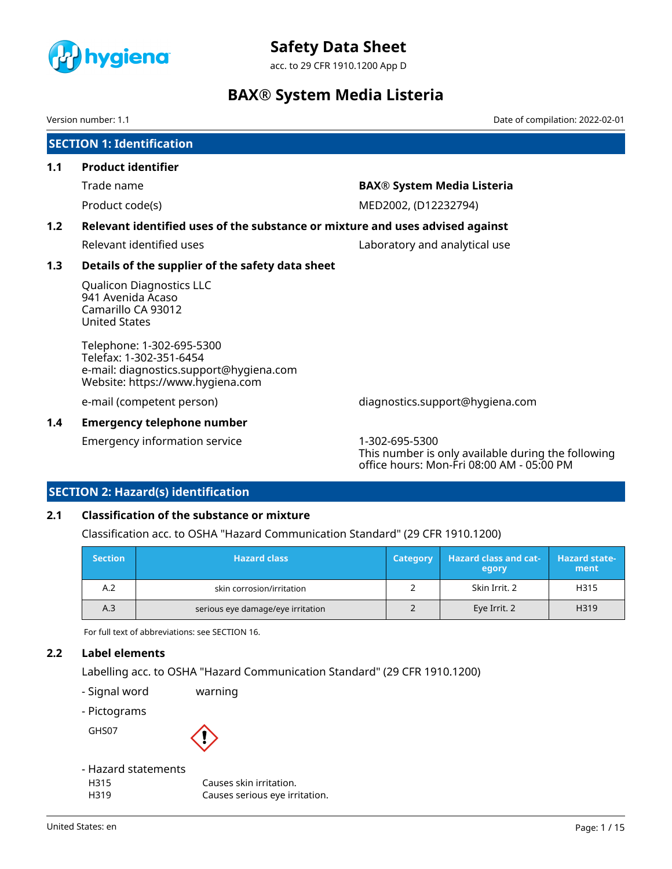

acc. to 29 CFR 1910.1200 App D

### **BAX® System Media Listeria**

Version number: 1.1 Date of compilation: 2022-02-01

|     | <b>SECTION 1: Identification</b>                                                                                                    |                                                                      |  |  |  |  |  |
|-----|-------------------------------------------------------------------------------------------------------------------------------------|----------------------------------------------------------------------|--|--|--|--|--|
| 1.1 | <b>Product identifier</b>                                                                                                           |                                                                      |  |  |  |  |  |
|     | Trade name                                                                                                                          | <b>BAX® System Media Listeria</b>                                    |  |  |  |  |  |
|     | Product code(s)                                                                                                                     | MED2002, (D12232794)                                                 |  |  |  |  |  |
| 1.2 | Relevant identified uses of the substance or mixture and uses advised against                                                       |                                                                      |  |  |  |  |  |
|     | Relevant identified uses                                                                                                            | Laboratory and analytical use                                        |  |  |  |  |  |
| 1.3 | Details of the supplier of the safety data sheet                                                                                    |                                                                      |  |  |  |  |  |
|     | <b>Qualicon Diagnostics LLC</b><br>941 Avenida Acaso<br>Camarillo CA 93012<br><b>United States</b>                                  |                                                                      |  |  |  |  |  |
|     | Telephone: 1-302-695-5300<br>Telefax: 1-302-351-6454<br>e-mail: diagnostics.support@hygiena.com<br>Website: https://www.hygiena.com |                                                                      |  |  |  |  |  |
|     | e-mail (competent person)                                                                                                           | diagnostics.support@hygiena.com                                      |  |  |  |  |  |
| 1.4 | <b>Emergency telephone number</b>                                                                                                   |                                                                      |  |  |  |  |  |
|     | Emergency information service                                                                                                       | 1-302-695-5300<br>This number is only available during the following |  |  |  |  |  |

### **SECTION 2: Hazard(s) identification**

### **2.1 Classification of the substance or mixture**

Classification acc. to OSHA "Hazard Communication Standard" (29 CFR 1910.1200)

| <b>Section</b> | <b>Hazard class</b>               | Category | <b>Hazard class and cat-</b><br>egory | <b>Hazard state-</b><br>ment |
|----------------|-----------------------------------|----------|---------------------------------------|------------------------------|
| A.2            | skin corrosion/irritation         |          | Skin Irrit. 2                         | H315                         |
| A.3            | serious eye damage/eye irritation |          | Eye Irrit. 2                          | H319                         |

office hours: Mon-Fri 08:00 AM - 05:00 PM

For full text of abbreviations: see SECTION 16.

### **2.2 Label elements**

Labelling acc. to OSHA "Hazard Communication Standard" (29 CFR 1910.1200)

- Signal word warning
- Pictograms

GHS07



### - Hazard statements

H315 Causes skin irritation. H319 Causes serious eye irritation.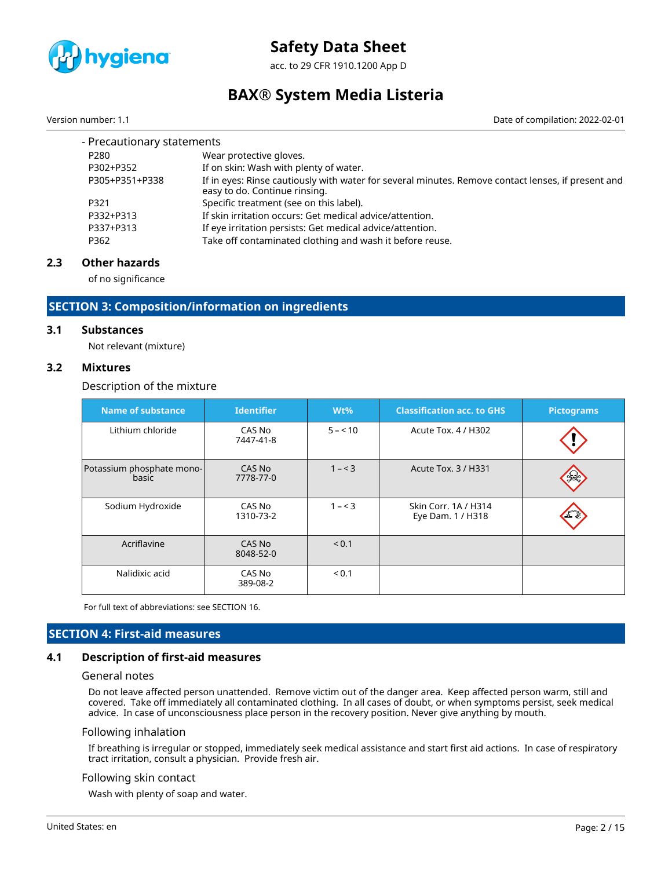

acc. to 29 CFR 1910.1200 App D

### **BAX® System Media Listeria**

Version number: 1.1 Date of compilation: 2022-02-01

| - Precautionary statements |                                                                                                                                     |  |  |  |  |  |
|----------------------------|-------------------------------------------------------------------------------------------------------------------------------------|--|--|--|--|--|
| P <sub>280</sub>           | Wear protective gloves.                                                                                                             |  |  |  |  |  |
| P302+P352                  | If on skin: Wash with plenty of water.                                                                                              |  |  |  |  |  |
| P305+P351+P338             | If in eyes: Rinse cautiously with water for several minutes. Remove contact lenses, if present and<br>easy to do. Continue rinsing. |  |  |  |  |  |
| P321                       | Specific treatment (see on this label).                                                                                             |  |  |  |  |  |
| P332+P313                  | If skin irritation occurs: Get medical advice/attention.                                                                            |  |  |  |  |  |
| P337+P313                  | If eye irritation persists: Get medical advice/attention.                                                                           |  |  |  |  |  |
| P362                       | Take off contaminated clothing and wash it before reuse.                                                                            |  |  |  |  |  |

### **2.3 Other hazards**

of no significance

### **SECTION 3: Composition/information on ingredients**

### **3.1 Substances**

Not relevant (mixture)

### **3.2 Mixtures**

### Description of the mixture

| <b>Name of substance</b>           | <b>Identifier</b>   | $Wt\%$   | <b>Classification acc. to GHS</b>         | <b>Pictograms</b> |
|------------------------------------|---------------------|----------|-------------------------------------------|-------------------|
| Lithium chloride                   | CAS No<br>7447-41-8 | $5 - 10$ | Acute Tox. 4 / H302                       |                   |
| Potassium phosphate mono-<br>basic | CAS No<br>7778-77-0 | $1 - 3$  | Acute Tox. 3 / H331                       |                   |
| Sodium Hydroxide                   | CAS No<br>1310-73-2 | $1 - 3$  | Skin Corr. 1A / H314<br>Eye Dam. 1 / H318 |                   |
| Acriflavine                        | CAS No<br>8048-52-0 | < 0.1    |                                           |                   |
| Nalidixic acid                     | CAS No<br>389-08-2  | < 0.1    |                                           |                   |

For full text of abbreviations: see SECTION 16.

### **SECTION 4: First-aid measures**

### **4.1 Description of first-aid measures**

### General notes

Do not leave affected person unattended. Remove victim out of the danger area. Keep affected person warm, still and covered. Take off immediately all contaminated clothing. In all cases of doubt, or when symptoms persist, seek medical advice. In case of unconsciousness place person in the recovery position. Never give anything by mouth.

#### Following inhalation

If breathing is irregular or stopped, immediately seek medical assistance and start first aid actions. In case of respiratory tract irritation, consult a physician. Provide fresh air.

### Following skin contact

Wash with plenty of soap and water.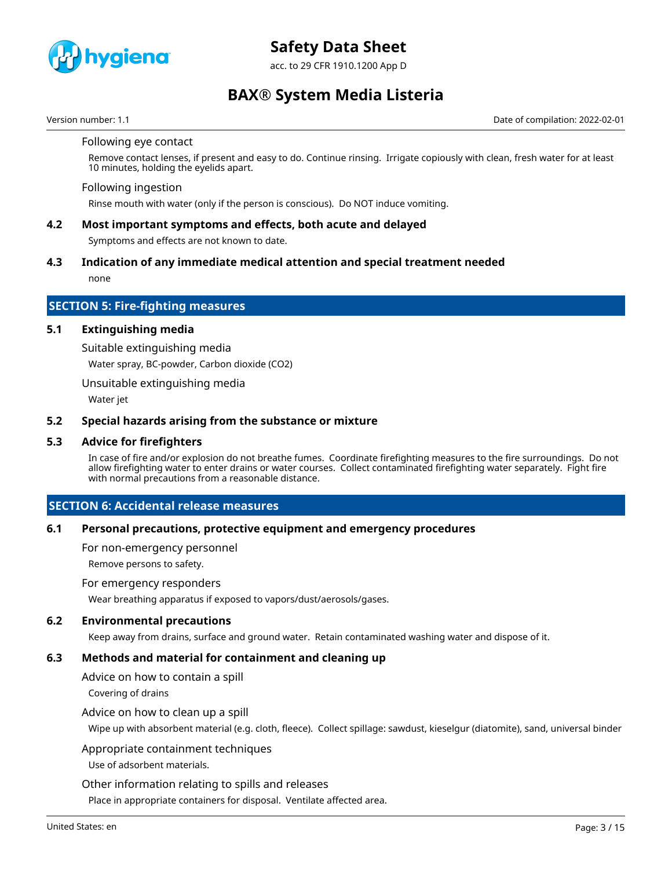

acc. to 29 CFR 1910.1200 App D

### **BAX® System Media Listeria**

Version number: 1.1 Date of compilation: 2022-02-01

#### Following eye contact

Remove contact lenses, if present and easy to do. Continue rinsing. Irrigate copiously with clean, fresh water for at least 10 minutes, holding the evelids apart.

#### Following ingestion

Rinse mouth with water (only if the person is conscious). Do NOT induce vomiting.

### **4.2 Most important symptoms and effects, both acute and delayed**

Symptoms and effects are not known to date.

### **4.3 Indication of any immediate medical attention and special treatment needed**

none

### **SECTION 5: Fire-fighting measures**

### **5.1 Extinguishing media**

Suitable extinguishing media

Water spray, BC-powder, Carbon dioxide (CO2)

Unsuitable extinguishing media

Water jet

### **5.2 Special hazards arising from the substance or mixture**

### **5.3 Advice for firefighters**

In case of fire and/or explosion do not breathe fumes. Coordinate firefighting measures to the fire surroundings. Do not allow firefighting water to enter drains or water courses. Collect contaminated firefighting water separately. Fight fire with normal precautions from a reasonable distance.

### **SECTION 6: Accidental release measures**

### **6.1 Personal precautions, protective equipment and emergency procedures**

For non-emergency personnel

Remove persons to safety.

For emergency responders

Wear breathing apparatus if exposed to vapors/dust/aerosols/gases.

### **6.2 Environmental precautions**

Keep away from drains, surface and ground water. Retain contaminated washing water and dispose of it.

### **6.3 Methods and material for containment and cleaning up**

Advice on how to contain a spill

Covering of drains

### Advice on how to clean up a spill

Wipe up with absorbent material (e.g. cloth, fleece). Collect spillage: sawdust, kieselgur (diatomite), sand, universal binder

### Appropriate containment techniques

Use of adsorbent materials.

Other information relating to spills and releases

Place in appropriate containers for disposal. Ventilate affected area.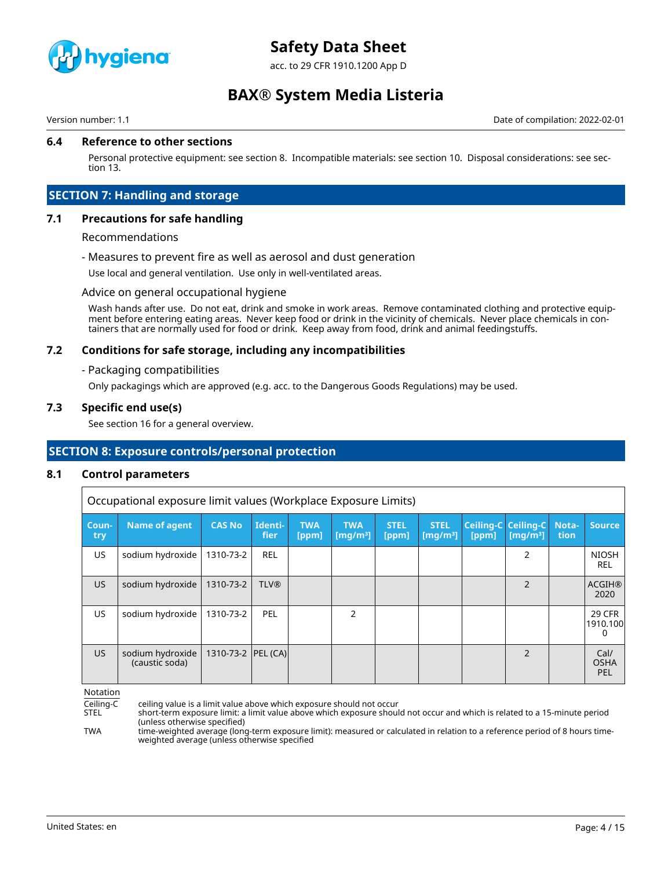

acc. to 29 CFR 1910.1200 App D

### **BAX® System Media Listeria**

Version number: 1.1 Date of compilation: 2022-02-01

### **6.4 Reference to other sections**

Personal protective equipment: see section 8. Incompatible materials: see section 10. Disposal considerations: see section 13.

### **SECTION 7: Handling and storage**

### **7.1 Precautions for safe handling**

### Recommendations

- Measures to prevent fire as well as aerosol and dust generation

Use local and general ventilation. Use only in well-ventilated areas.

#### Advice on general occupational hygiene

Wash hands after use. Do not eat, drink and smoke in work areas. Remove contaminated clothing and protective equipment before entering eating areas. Never keep food or drink in the vicinity of chemicals. Never place chemicals in containers that are normally used for food or drink. Keep away from food, drink and animal feedingstuffs.

### **7.2 Conditions for safe storage, including any incompatibilities**

#### - Packaging compatibilities

Only packagings which are approved (e.g. acc. to the Dangerous Goods Regulations) may be used.

### **7.3 Specific end use(s)**

See section 16 for a general overview.

### **SECTION 8: Exposure controls/personal protection**

### **8.1 Control parameters**

Occupational exposure limit values (Workplace Exposure Limits)

| Coun-<br>try | <b>Name of agent</b>               | <b>CAS No</b>        | Identi-<br><b>fier</b> | <b>TWA</b><br>[ppm] | <b>TWA</b><br>[ $mq/m3$ ] | <b>STEL</b><br>[ppm] | <b>STEL</b><br>[mq/m <sup>3</sup> ] | [ppm] | Ceiling-C Ceiling-C<br>$\left[\text{mq/m}^3\right]$ | Nota-<br>tion | <b>Source</b>                  |
|--------------|------------------------------------|----------------------|------------------------|---------------------|---------------------------|----------------------|-------------------------------------|-------|-----------------------------------------------------|---------------|--------------------------------|
| US.          | sodium hydroxide                   | 1310-73-2            | <b>REL</b>             |                     |                           |                      |                                     |       | 2                                                   |               | <b>NIOSH</b><br><b>REL</b>     |
| US.          | sodium hydroxide                   | 1310-73-2            | <b>TLV®</b>            |                     |                           |                      |                                     |       | 2                                                   |               | <b>ACGIH®</b><br>2020          |
| US.          | sodium hydroxide                   | 1310-73-2            | PEL                    |                     | C,                        |                      |                                     |       |                                                     |               | <b>29 CFR</b><br>1910.100<br>0 |
| US.          | sodium hydroxide<br>(caustic soda) | 1310-73-2   PEL (CA) |                        |                     |                           |                      |                                     |       | $\overline{2}$                                      |               | Cal/<br><b>OSHA</b><br>PEL     |

Notation

Ceiling-C ceiling value is a limit value above which exposure should not occur short-term exposure limit: a limit value above which exposure should not occur and which is related to a 15-minute period (unless otherwise specified)

TWA time-weighted average (long-term exposure limit): measured or calculated in relation to a reference period of 8 hours timeweighted average (unless otherwise specified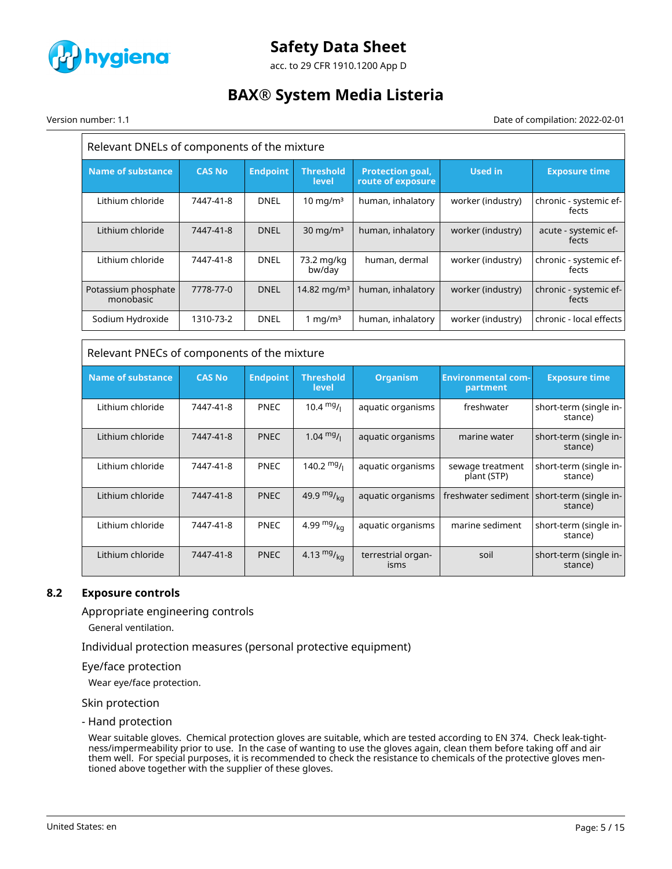

acc. to 29 CFR 1910.1200 App D

### **BAX® System Media Listeria**

Version number: 1.1 Date of compilation: 2022-02-01

| Relevant DNELs of components of the mixture |               |                 |                           |                                              |                   |                                 |  |  |
|---------------------------------------------|---------------|-----------------|---------------------------|----------------------------------------------|-------------------|---------------------------------|--|--|
| <b>Name of substance</b>                    | <b>CAS No</b> | <b>Endpoint</b> | <b>Threshold</b><br>level | <b>Protection goal,</b><br>route of exposure | <b>Used in</b>    | <b>Exposure time</b>            |  |  |
| Lithium chloride                            | 7447-41-8     | <b>DNEL</b>     | $10 \text{ mg/m}^3$       | human, inhalatory                            | worker (industry) | chronic - systemic ef-<br>fects |  |  |
| Lithium chloride                            | 7447-41-8     | <b>DNEL</b>     | $30 \text{ mg/m}^3$       | human, inhalatory                            | worker (industry) | acute - systemic ef-<br>fects   |  |  |
| Lithium chloride                            | 7447-41-8     | <b>DNEL</b>     | 73.2 mg/kg<br>bw/day      | human, dermal                                | worker (industry) | chronic - systemic ef-<br>fects |  |  |
| Potassium phosphate<br>monobasic            | 7778-77-0     | <b>DNEL</b>     | 14.82 mg/m <sup>3</sup>   | human, inhalatory                            | worker (industry) | chronic - systemic ef-<br>fects |  |  |
| Sodium Hydroxide                            | 1310-73-2     | <b>DNEL</b>     | 1 mg/m $3$                | human, inhalatory                            | worker (industry) | chronic - local effects         |  |  |

| Relevant PNECs of components of the mixture |               |                 |                                  |                            |                                       |                                                         |  |  |  |
|---------------------------------------------|---------------|-----------------|----------------------------------|----------------------------|---------------------------------------|---------------------------------------------------------|--|--|--|
| <b>Name of substance</b>                    | <b>CAS No</b> | <b>Endpoint</b> | <b>Threshold</b><br><b>level</b> | <b>Organism</b>            | <b>Environmental com-</b><br>partment | <b>Exposure time</b>                                    |  |  |  |
| Lithium chloride                            | 7447-41-8     | <b>PNEC</b>     | 10.4 $mg/1$                      | aquatic organisms          | freshwater                            | short-term (single in-<br>stance)                       |  |  |  |
| Lithium chloride                            | 7447-41-8     | <b>PNEC</b>     | $1.04 \text{ mg}/1$              | aquatic organisms          | marine water                          | short-term (single in-<br>stance)                       |  |  |  |
| Lithium chloride                            | 7447-41-8     | <b>PNEC</b>     | $140.2 \frac{mg}{l}$             | aquatic organisms          | sewage treatment<br>plant (STP)       | short-term (single in-<br>stance)                       |  |  |  |
| Lithium chloride                            | 7447-41-8     | <b>PNEC</b>     | 49.9 $mg/kq$                     | aquatic organisms          |                                       | freshwater sediment   short-term (single in-<br>stance) |  |  |  |
| Lithium chloride                            | 7447-41-8     | <b>PNEC</b>     | 4.99 $mg/m$ <sub>ka</sub>        | aquatic organisms          | marine sediment                       | short-term (single in-<br>stance)                       |  |  |  |
| Lithium chloride                            | 7447-41-8     | <b>PNEC</b>     | 4.13 $mg/kq$                     | terrestrial organ-<br>isms | soil                                  | short-term (single in-<br>stance)                       |  |  |  |

### **8.2 Exposure controls**

Appropriate engineering controls

General ventilation.

Individual protection measures (personal protective equipment)

Eye/face protection

Wear eye/face protection.

Skin protection

- Hand protection

Wear suitable gloves. Chemical protection gloves are suitable, which are tested according to EN 374. Check leak-tightness/impermeability prior to use. In the case of wanting to use the gloves again, clean them before taking off and air them well. For special purposes, it is recommended to check the resistance to chemicals of the protective gloves mentioned above together with the supplier of these gloves.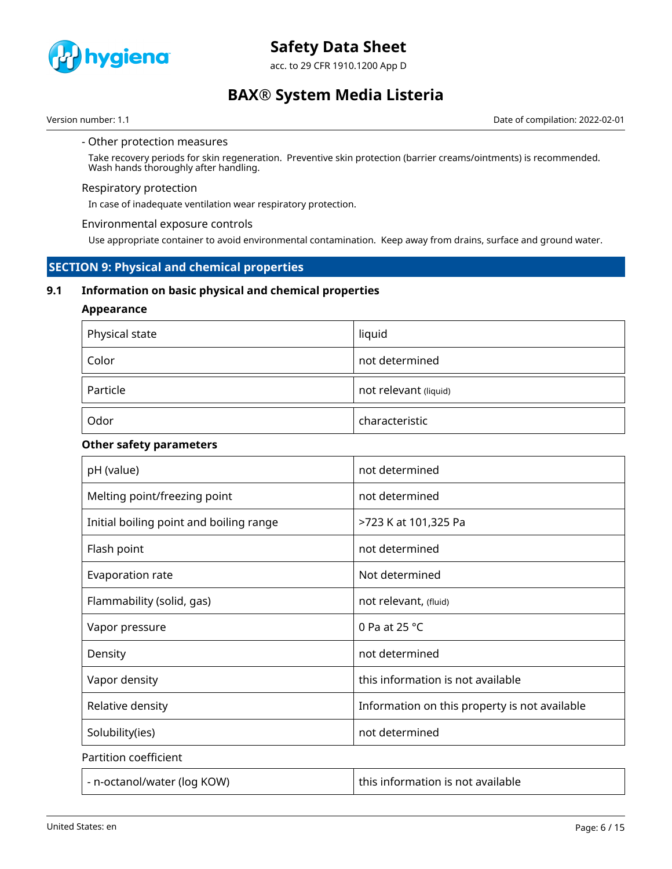

acc. to 29 CFR 1910.1200 App D

### **BAX® System Media Listeria**

Version number: 1.1 **Date of compilation: 2022-02-01** Date of compilation: 2022-02-01

#### - Other protection measures

Take recovery periods for skin regeneration. Preventive skin protection (barrier creams/ointments) is recommended. Wash hands thoroughly after handling.

### Respiratory protection

In case of inadequate ventilation wear respiratory protection.

### Environmental exposure controls

Use appropriate container to avoid environmental contamination. Keep away from drains, surface and ground water.

### **SECTION 9: Physical and chemical properties**

### **9.1 Information on basic physical and chemical properties**

### **Appearance**

| Physical state | liquid                |
|----------------|-----------------------|
| Color          | not determined        |
| Particle       | not relevant (liquid) |
| Odor           | characteristic        |

### **Other safety parameters**

| pH (value)                              | not determined                                |
|-----------------------------------------|-----------------------------------------------|
| Melting point/freezing point            | not determined                                |
| Initial boiling point and boiling range | >723 K at 101,325 Pa                          |
| Flash point                             | not determined                                |
| Evaporation rate                        | Not determined                                |
| Flammability (solid, gas)               | not relevant, (fluid)                         |
| Vapor pressure                          | 0 Pa at 25 $^{\circ}$ C                       |
| Density                                 | not determined                                |
| Vapor density                           | this information is not available             |
| Relative density                        | Information on this property is not available |
| Solubility(ies)                         | not determined                                |
| Partition coefficient                   |                                               |
| - n-octanol/water (log KOW)             | this information is not available             |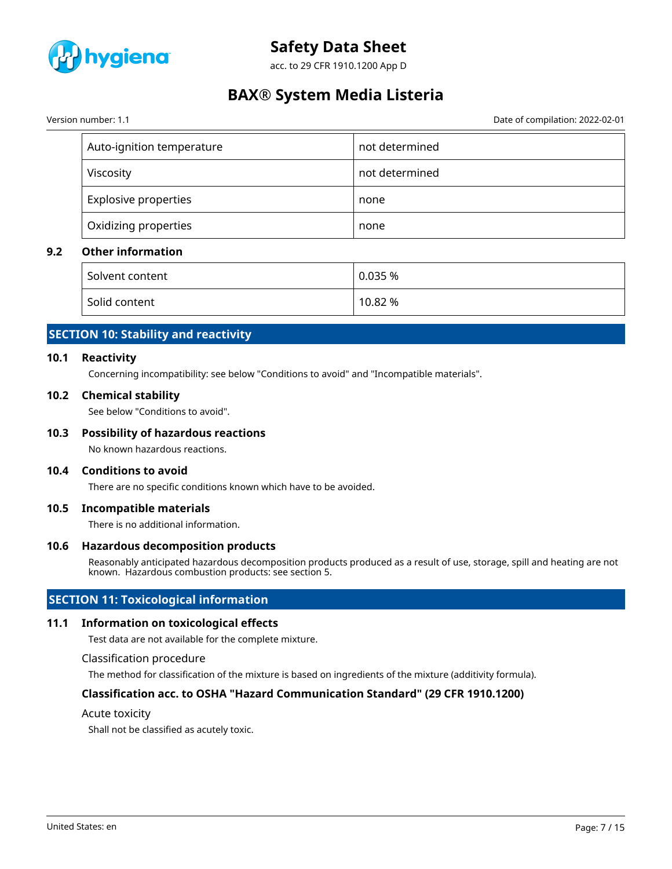

acc. to 29 CFR 1910.1200 App D

### **BAX® System Media Listeria**

Version number: 1.1 Date of compilation: 2022-02-01

| Auto-ignition temperature   | not determined |
|-----------------------------|----------------|
| Viscosity                   | not determined |
| <b>Explosive properties</b> | none           |
| Oxidizing properties        | none           |

### **9.2 Other information**

| Solvent content | 0.035%  |
|-----------------|---------|
| Solid content   | 10.82 % |

### **SECTION 10: Stability and reactivity**

### **10.1 Reactivity**

Concerning incompatibility: see below "Conditions to avoid" and "Incompatible materials".

### **10.2 Chemical stability**

See below "Conditions to avoid".

### **10.3 Possibility of hazardous reactions**

No known hazardous reactions.

### **10.4 Conditions to avoid**

There are no specific conditions known which have to be avoided.

### **10.5 Incompatible materials**

There is no additional information.

### **10.6 Hazardous decomposition products**

Reasonably anticipated hazardous decomposition products produced as a result of use, storage, spill and heating are not known. Hazardous combustion products: see section 5.

### **SECTION 11: Toxicological information**

### **11.1 Information on toxicological effects**

Test data are not available for the complete mixture.

#### Classification procedure

The method for classification of the mixture is based on ingredients of the mixture (additivity formula).

### **Classification acc. to OSHA "Hazard Communication Standard" (29 CFR 1910.1200)**

#### Acute toxicity

Shall not be classified as acutely toxic.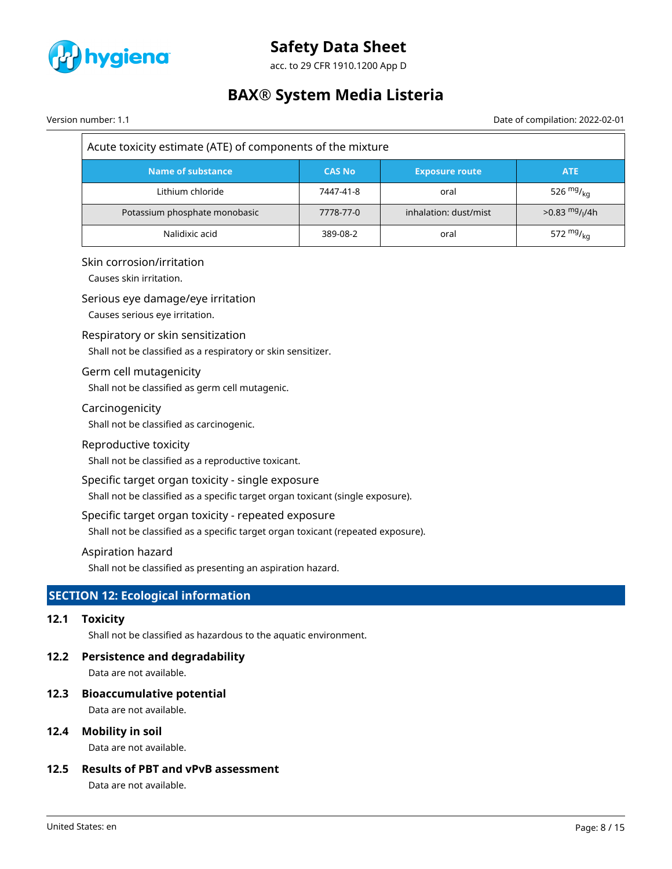

acc. to 29 CFR 1910.1200 App D

## **BAX® System Media Listeria**

Version number: 1.1 Date of compilation: 2022-02-01

| Acute toxicity estimate (ATE) of components of the mixture |               |                       |                                         |  |  |  |  |
|------------------------------------------------------------|---------------|-----------------------|-----------------------------------------|--|--|--|--|
| Name of substance                                          | <b>CAS No</b> | <b>Exposure route</b> | <b>ATE</b>                              |  |  |  |  |
| Lithium chloride                                           | 7447-41-8     | oral                  | 526 $mg/_{ka}$                          |  |  |  |  |
| Potassium phosphate monobasic                              | 7778-77-0     | inhalation: dust/mist | $>0.83 \frac{mg}{l}$ / <sub>1</sub> /4h |  |  |  |  |
| Nalidixic acid                                             | 389-08-2      | oral                  | 572 $mg_{kq}$                           |  |  |  |  |

### Skin corrosion/irritation

Causes skin irritation.

### Serious eye damage/eye irritation

Causes serious eye irritation.

### Respiratory or skin sensitization

Shall not be classified as a respiratory or skin sensitizer.

### Germ cell mutagenicity

Shall not be classified as germ cell mutagenic.

### Carcinogenicity

Shall not be classified as carcinogenic.

### Reproductive toxicity

Shall not be classified as a reproductive toxicant.

### Specific target organ toxicity - single exposure

Shall not be classified as a specific target organ toxicant (single exposure).

### Specific target organ toxicity - repeated exposure

Shall not be classified as a specific target organ toxicant (repeated exposure).

### Aspiration hazard

Shall not be classified as presenting an aspiration hazard.

### **SECTION 12: Ecological information**

### **12.1 Toxicity**

Shall not be classified as hazardous to the aquatic environment.

### **12.2 Persistence and degradability**

Data are not available.

### **12.3 Bioaccumulative potential**

Data are not available.

### **12.4 Mobility in soil**

Data are not available.

### **12.5 Results of PBT and vPvB assessment**

Data are not available.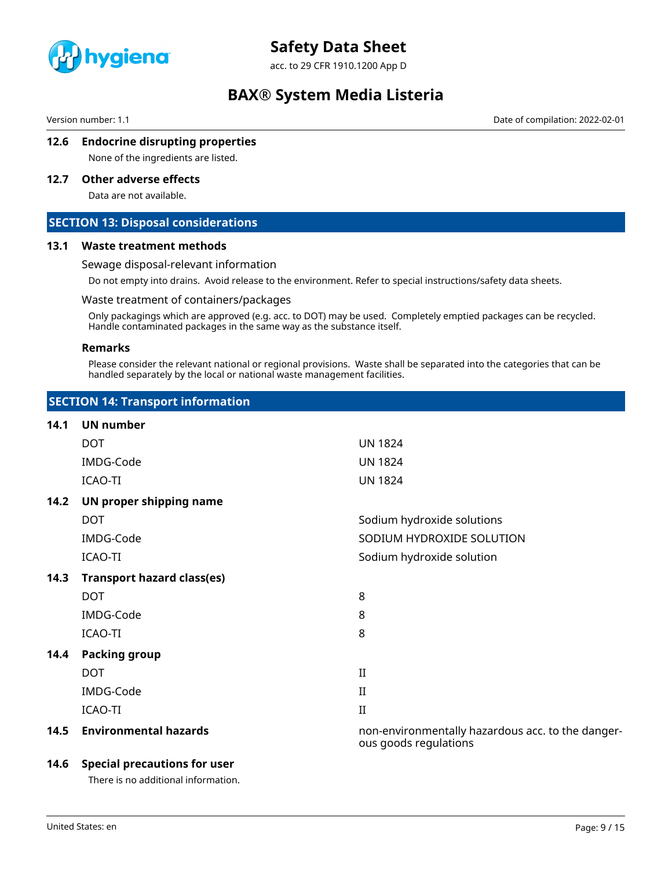

acc. to 29 CFR 1910.1200 App D

### **BAX® System Media Listeria**

Version number: 1.1 Date of compilation: 2022-02-01

### **12.6 Endocrine disrupting properties**

None of the ingredients are listed.

### **12.7 Other adverse effects**

Data are not available.

### **SECTION 13: Disposal considerations**

### **13.1 Waste treatment methods**

### Sewage disposal-relevant information

Do not empty into drains. Avoid release to the environment. Refer to special instructions/safety data sheets.

### Waste treatment of containers/packages

Only packagings which are approved (e.g. acc. to DOT) may be used. Completely emptied packages can be recycled. Handle contaminated packages in the same way as the substance itself.

### **Remarks**

Please consider the relevant national or regional provisions. Waste shall be separated into the categories that can be handled separately by the local or national waste management facilities.

| <b>SECTION 14: Transport information</b> |
|------------------------------------------|
|------------------------------------------|

| 14.1 | <b>UN number</b>                  |                                                                            |
|------|-----------------------------------|----------------------------------------------------------------------------|
|      | <b>DOT</b>                        | <b>UN 1824</b>                                                             |
|      | IMDG-Code                         | <b>UN 1824</b>                                                             |
|      | ICAO-TI                           | <b>UN 1824</b>                                                             |
| 14.2 | UN proper shipping name           |                                                                            |
|      | <b>DOT</b>                        | Sodium hydroxide solutions                                                 |
|      | IMDG-Code                         | SODIUM HYDROXIDE SOLUTION                                                  |
|      | ICAO-TI                           | Sodium hydroxide solution                                                  |
| 14.3 | <b>Transport hazard class(es)</b> |                                                                            |
|      | <b>DOT</b>                        | 8                                                                          |
|      | IMDG-Code                         | 8                                                                          |
|      | ICAO-TI                           | 8                                                                          |
| 14.4 | <b>Packing group</b>              |                                                                            |
|      | <b>DOT</b>                        | $\mathbf{I}$                                                               |
|      | IMDG-Code                         | $\mathbf{I}$                                                               |
|      | ICAO-TI                           | $_{\rm II}$                                                                |
| 14.5 | <b>Environmental hazards</b>      | non-environmentally hazardous acc. to the danger-<br>ous goods regulations |

### **14.6 Special precautions for user**

There is no additional information.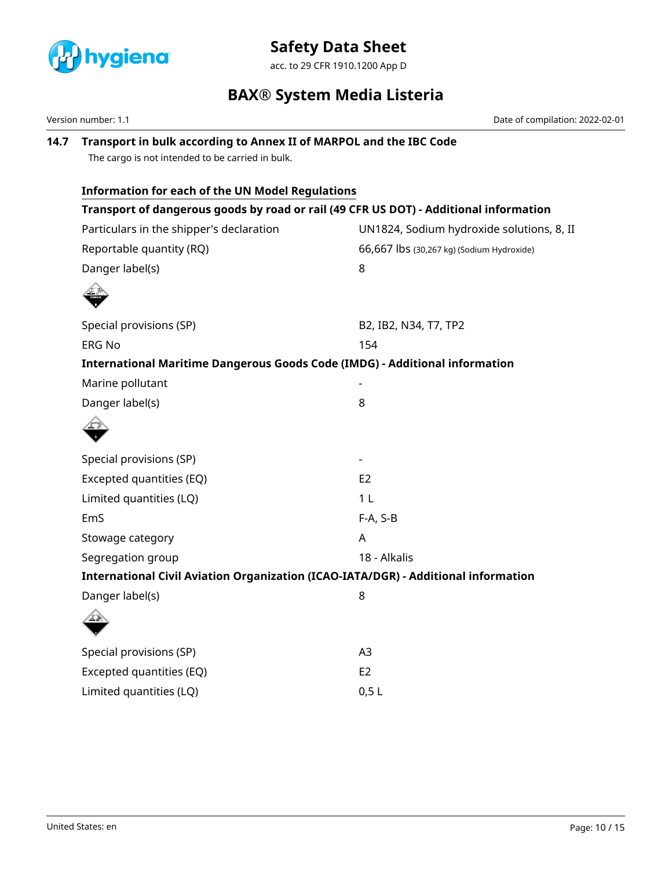

acc. to 29 CFR 1910.1200 App D

### **BAX® System Media Listeria**

Version number: 1.1 Date of compilation: 2022-02-01

**14.7 Transport in bulk according to Annex II of MARPOL and the IBC Code** The cargo is not intended to be carried in bulk. **Information for each of the UN Model Regulations Transport of dangerous goods by road or rail (49 CFR US DOT) - Additional information** Particulars in the shipper's declaration UN1824, Sodium hydroxide solutions, 8, II Reportable quantity (RQ) and the state of 66,667 lbs (30,267 kg) (Sodium Hydroxide) Danger label(s) 8 Special provisions (SP) B2, IB2, N34, T7, TP2 ERG No 154 **International Maritime Dangerous Goods Code (IMDG) - Additional information** Marine pollutant Danger label(s) 8 Special provisions (SP) and the set of the set of the set of the set of the set of the set of the set of the set of the set of the set of the set of the set of the set of the set of the set of the set of the set of the set Excepted quantities (EQ) EXCEPTED FOR THE EQ Limited quantities (LQ) 1 L EmS F-A, S-B Stowage category **A** Segregation group 18 - Alkalis **International Civil Aviation Organization (ICAO-IATA/DGR) - Additional information** Danger label(s) 8 Special provisions (SP) and a set of the set of the A3 Excepted quantities (EQ) EXCEPTED FOR EQ Limited quantities (LQ) 0,5 L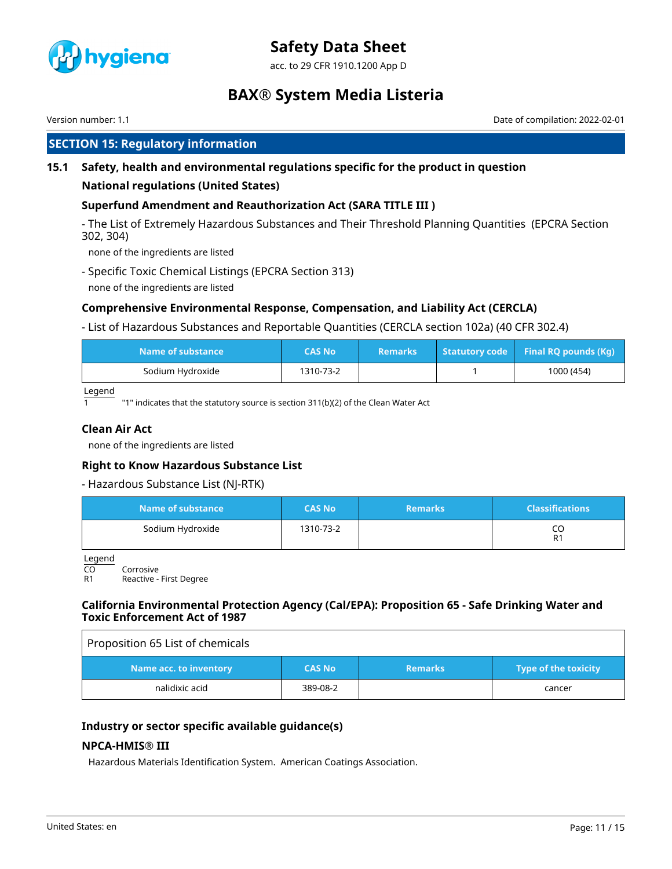

acc. to 29 CFR 1910.1200 App D

### **BAX® System Media Listeria**

Version number: 1.1 Date of compilation: 2022-02-01

### **SECTION 15: Regulatory information**

### **15.1 Safety, health and environmental regulations specific for the product in question**

### **National regulations (United States)**

### **Superfund Amendment and Reauthorization Act (SARA TITLE III )**

- The List of Extremely Hazardous Substances and Their Threshold Planning Quantities (EPCRA Section 302, 304)

none of the ingredients are listed

- Specific Toxic Chemical Listings (EPCRA Section 313)
- none of the ingredients are listed

### **Comprehensive Environmental Response, Compensation, and Liability Act (CERCLA)**

- List of Hazardous Substances and Reportable Quantities (CERCLA section 102a) (40 CFR 302.4)

| Name of substance | CAS No    | <b>Remarks</b> | Statutory code Final RQ pounds (Kg) |
|-------------------|-----------|----------------|-------------------------------------|
| Sodium Hydroxide  | 1310-73-2 |                | 1000 (454)                          |

Legend

"1" indicates that the statutory source is section 311(b)(2) of the Clean Water Act

### **Clean Air Act**

none of the ingredients are listed

### **Right to Know Hazardous Substance List**

### - Hazardous Substance List (NJ-RTK)

| Name of substance | <b>CAS No</b> | <b>Remarks</b> | <b>Classifications</b> |
|-------------------|---------------|----------------|------------------------|
| Sodium Hydroxide  | 1310-73-2     |                | R1                     |

Legend

CO Corrosive<br>R1 Reactive -

Reactive - First Degree

### **California Environmental Protection Agency (Cal/EPA): Proposition 65 - Safe Drinking Water and Toxic Enforcement Act of 1987**

| Proposition 65 List of chemicals |               |                |                             |
|----------------------------------|---------------|----------------|-----------------------------|
| Name acc. to inventory           | <b>CAS No</b> | <b>Remarks</b> | <b>Type of the toxicity</b> |
| nalidixic acid                   | 389-08-2      |                | cancer                      |

### **Industry or sector specific available guidance(s)**

### **NPCA-HMIS® III**

Hazardous Materials Identification System. American Coatings Association.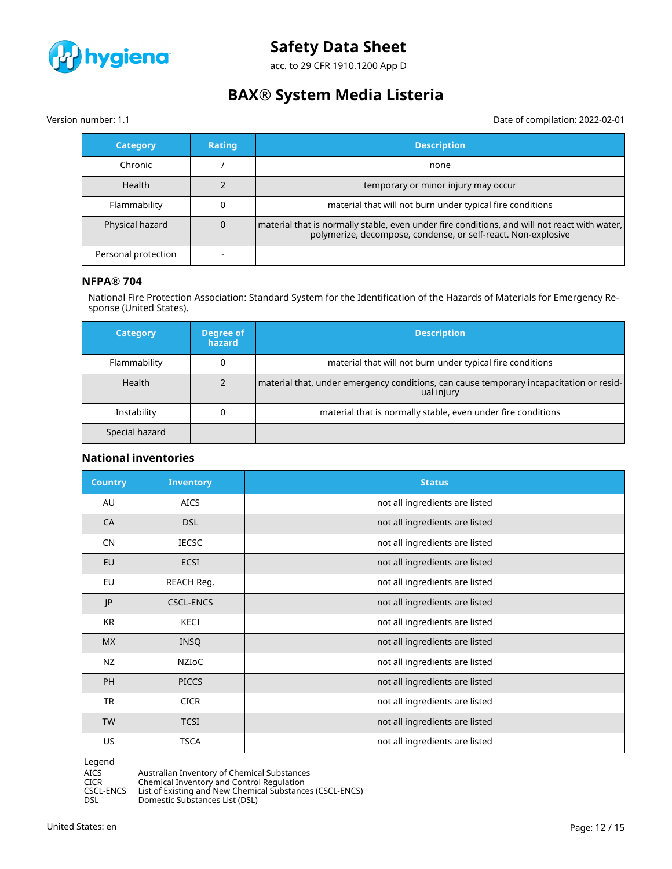

acc. to 29 CFR 1910.1200 App D

# **BAX® System Media Listeria**

Version number: 1.1 Date of compilation: 2022-02-01

| <b>Category</b>     | <b>Rating</b> | <b>Description</b>                                                                                                                                              |
|---------------------|---------------|-----------------------------------------------------------------------------------------------------------------------------------------------------------------|
| Chronic             |               | none                                                                                                                                                            |
| <b>Health</b>       |               | temporary or minor injury may occur                                                                                                                             |
| Flammability        |               | material that will not burn under typical fire conditions                                                                                                       |
| Physical hazard     | 0             | material that is normally stable, even under fire conditions, and will not react with water,  <br>polymerize, decompose, condense, or self-react. Non-explosive |
| Personal protection |               |                                                                                                                                                                 |

### **NFPA® 704**

National Fire Protection Association: Standard System for the Identification of the Hazards of Materials for Emergency Response (United States).

| <b>Category</b> | Degree of<br>hazard | <b>Description</b>                                                                                    |
|-----------------|---------------------|-------------------------------------------------------------------------------------------------------|
| Flammability    |                     | material that will not burn under typical fire conditions                                             |
| Health          |                     | material that, under emergency conditions, can cause temporary incapacitation or resid-<br>ual injury |
| Instability     |                     | material that is normally stable, even under fire conditions                                          |
| Special hazard  |                     |                                                                                                       |

### **National inventories**

| <b>Country</b> | <b>Inventory</b> | <b>Status</b>                  |
|----------------|------------------|--------------------------------|
| AU             | <b>AICS</b>      | not all ingredients are listed |
| CA             | <b>DSL</b>       | not all ingredients are listed |
| <b>CN</b>      | <b>IECSC</b>     | not all ingredients are listed |
| EU             | <b>ECSI</b>      | not all ingredients are listed |
| EU             | REACH Reg.       | not all ingredients are listed |
| JP             | <b>CSCL-ENCS</b> | not all ingredients are listed |
| KR             | KECI             | not all ingredients are listed |
| <b>MX</b>      | <b>INSQ</b>      | not all ingredients are listed |
| <b>NZ</b>      | NZIOC            | not all ingredients are listed |
| <b>PH</b>      | <b>PICCS</b>     | not all ingredients are listed |
| <b>TR</b>      | <b>CICR</b>      | not all ingredients are listed |
| <b>TW</b>      | <b>TCSI</b>      | not all ingredients are listed |
| US.            | <b>TSCA</b>      | not all ingredients are listed |

Legend

AICS Australian Inventory of Chemical Substances<br>CICR Chemical Inventory and Control Regulation

CICR Chemical Inventory and Control Regulation CSCL-ENCS List of Existing and New Chemical Substances (CSCL-ENCS)

DSL Domestic Substances List (DSL)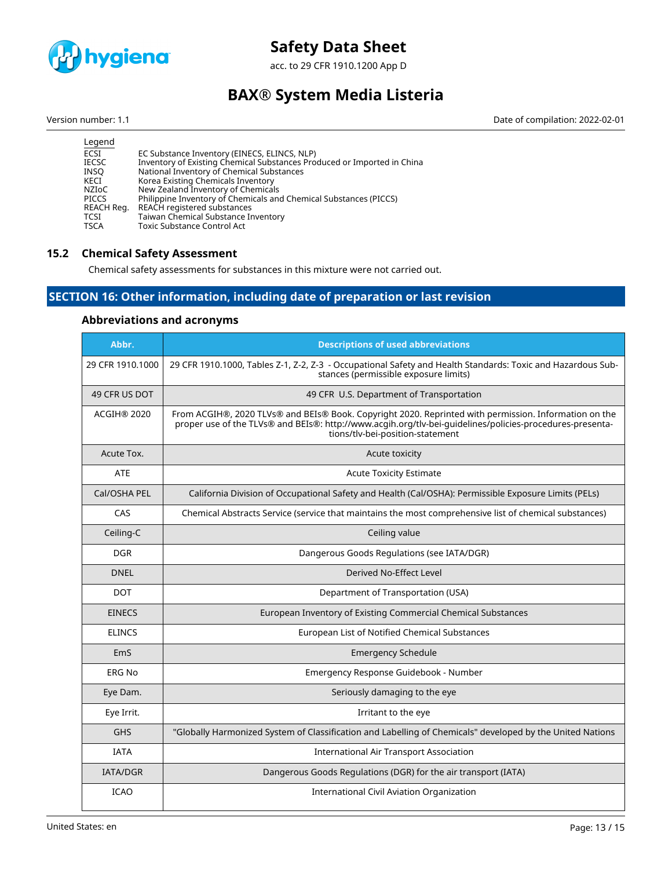

acc. to 29 CFR 1910.1200 App D

# **BAX® System Media Listeria**

Version number: 1.1 Date of compilation: 2022-02-01

| Legend       |                                                                         |
|--------------|-------------------------------------------------------------------------|
| ECSI         | EC Substance Inventory (EINECS, ELINCS, NLP)                            |
| <b>IECSC</b> | Inventory of Existing Chemical Substances Produced or Imported in China |
| INSO         | National Inventory of Chemical Substances                               |
| KECI         | Korea Existing Chemicals Inventory                                      |
| NZIoC        | New Zealand Inventory of Chemicals                                      |
| PICCS        | Philippine Inventory of Chemicals and Chemical Substances (PICCS)       |
| REACH Reg.   | REACH registered substances                                             |
| <b>TCSI</b>  | Taiwan Chemical Substance Inventory                                     |
| <b>TSCA</b>  | <b>Toxic Substance Control Act</b>                                      |
|              |                                                                         |

### **15.2 Chemical Safety Assessment**

Chemical safety assessments for substances in this mixture were not carried out.

### **SECTION 16: Other information, including date of preparation or last revision**

### **Abbreviations and acronyms**

| Abbr.<br><b>Descriptions of used abbreviations</b> |                                                                                                                                                                                                                                                       |
|----------------------------------------------------|-------------------------------------------------------------------------------------------------------------------------------------------------------------------------------------------------------------------------------------------------------|
| 29 CFR 1910.1000                                   | 29 CFR 1910.1000, Tables Z-1, Z-2, Z-3 - Occupational Safety and Health Standards: Toxic and Hazardous Sub-<br>stances (permissible exposure limits)                                                                                                  |
| 49 CFR US DOT                                      | 49 CFR U.S. Department of Transportation                                                                                                                                                                                                              |
| ACGIH® 2020                                        | From ACGIH®, 2020 TLVs® and BEIs® Book. Copyright 2020. Reprinted with permission. Information on the<br>proper use of the TLVs® and BEIs®: http://www.acqih.org/tlv-bei-quidelines/policies-procedures-presenta-<br>tions/tlv-bei-position-statement |
| Acute Tox.                                         | Acute toxicity                                                                                                                                                                                                                                        |
| <b>ATE</b>                                         | <b>Acute Toxicity Estimate</b>                                                                                                                                                                                                                        |
| Cal/OSHA PEL                                       | California Division of Occupational Safety and Health (Cal/OSHA): Permissible Exposure Limits (PELs)                                                                                                                                                  |
| CAS                                                | Chemical Abstracts Service (service that maintains the most comprehensive list of chemical substances)                                                                                                                                                |
| Ceiling-C                                          | Ceiling value                                                                                                                                                                                                                                         |
| <b>DGR</b>                                         | Dangerous Goods Regulations (see IATA/DGR)                                                                                                                                                                                                            |
| <b>DNEL</b>                                        | Derived No-Effect Level                                                                                                                                                                                                                               |
| <b>DOT</b>                                         | Department of Transportation (USA)                                                                                                                                                                                                                    |
| <b>EINECS</b>                                      | European Inventory of Existing Commercial Chemical Substances                                                                                                                                                                                         |
| <b>ELINCS</b>                                      | European List of Notified Chemical Substances                                                                                                                                                                                                         |
| EmS                                                | <b>Emergency Schedule</b>                                                                                                                                                                                                                             |
| <b>ERG No</b>                                      | Emergency Response Guidebook - Number                                                                                                                                                                                                                 |
| Eye Dam.                                           | Seriously damaging to the eye                                                                                                                                                                                                                         |
| Eye Irrit.                                         | Irritant to the eye                                                                                                                                                                                                                                   |
| <b>GHS</b>                                         | "Globally Harmonized System of Classification and Labelling of Chemicals" developed by the United Nations                                                                                                                                             |
| <b>IATA</b>                                        | <b>International Air Transport Association</b>                                                                                                                                                                                                        |
| <b>IATA/DGR</b>                                    | Dangerous Goods Regulations (DGR) for the air transport (IATA)                                                                                                                                                                                        |
| <b>ICAO</b>                                        | International Civil Aviation Organization                                                                                                                                                                                                             |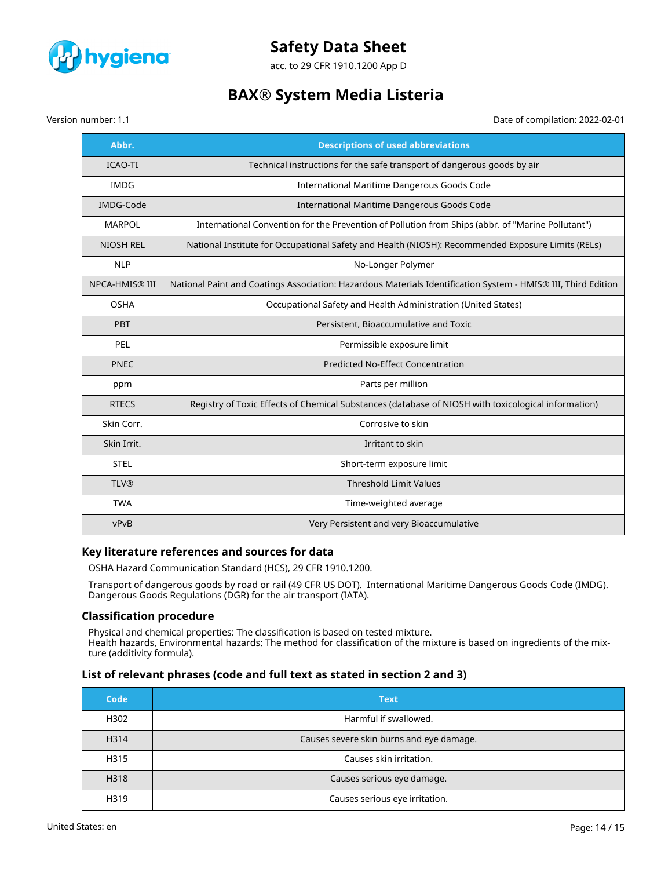

acc. to 29 CFR 1910.1200 App D

### **BAX® System Media Listeria**

Version number: 1.1 Date of compilation: 2022-02-01

| Abbr.                                                                                     | <b>Descriptions of used abbreviations</b>                                                                     |  |
|-------------------------------------------------------------------------------------------|---------------------------------------------------------------------------------------------------------------|--|
| <b>ICAO-TI</b><br>Technical instructions for the safe transport of dangerous goods by air |                                                                                                               |  |
| <b>IMDG</b>                                                                               | International Maritime Dangerous Goods Code                                                                   |  |
| <b>IMDG-Code</b>                                                                          | International Maritime Dangerous Goods Code                                                                   |  |
| <b>MARPOL</b>                                                                             | International Convention for the Prevention of Pollution from Ships (abbr. of "Marine Pollutant")             |  |
| <b>NIOSH REL</b>                                                                          | National Institute for Occupational Safety and Health (NIOSH): Recommended Exposure Limits (RELs)             |  |
| <b>NLP</b>                                                                                | No-Longer Polymer                                                                                             |  |
| <b>NPCA-HMIS® III</b>                                                                     | National Paint and Coatings Association: Hazardous Materials Identification System - HMIS® III, Third Edition |  |
| <b>OSHA</b>                                                                               | Occupational Safety and Health Administration (United States)                                                 |  |
| PBT                                                                                       | Persistent, Bioaccumulative and Toxic                                                                         |  |
| PEL                                                                                       | Permissible exposure limit                                                                                    |  |
| <b>PNEC</b>                                                                               | <b>Predicted No-Effect Concentration</b>                                                                      |  |
| ppm                                                                                       | Parts per million                                                                                             |  |
| <b>RTECS</b>                                                                              | Registry of Toxic Effects of Chemical Substances (database of NIOSH with toxicological information)           |  |
| Skin Corr.                                                                                | Corrosive to skin                                                                                             |  |
| Skin Irrit.                                                                               | Irritant to skin                                                                                              |  |
| <b>STEL</b>                                                                               | Short-term exposure limit                                                                                     |  |
| <b>TLV®</b>                                                                               | <b>Threshold Limit Values</b>                                                                                 |  |
| <b>TWA</b>                                                                                | Time-weighted average                                                                                         |  |
| vPvB                                                                                      | Very Persistent and very Bioaccumulative                                                                      |  |

### **Key literature references and sources for data**

OSHA Hazard Communication Standard (HCS), 29 CFR 1910.1200.

Transport of dangerous goods by road or rail (49 CFR US DOT). International Maritime Dangerous Goods Code (IMDG). Dangerous Goods Regulations (DGR) for the air transport (IATA).

### **Classification procedure**

Physical and chemical properties: The classification is based on tested mixture. Health hazards, Environmental hazards: The method for classification of the mixture is based on ingredients of the mixture (additivity formula).

### **List of relevant phrases (code and full text as stated in section 2 and 3)**

| Code | <b>Text</b>                              |
|------|------------------------------------------|
| H302 | Harmful if swallowed.                    |
| H314 | Causes severe skin burns and eye damage. |
| H315 | Causes skin irritation.                  |
| H318 | Causes serious eye damage.               |
| H319 | Causes serious eye irritation.           |